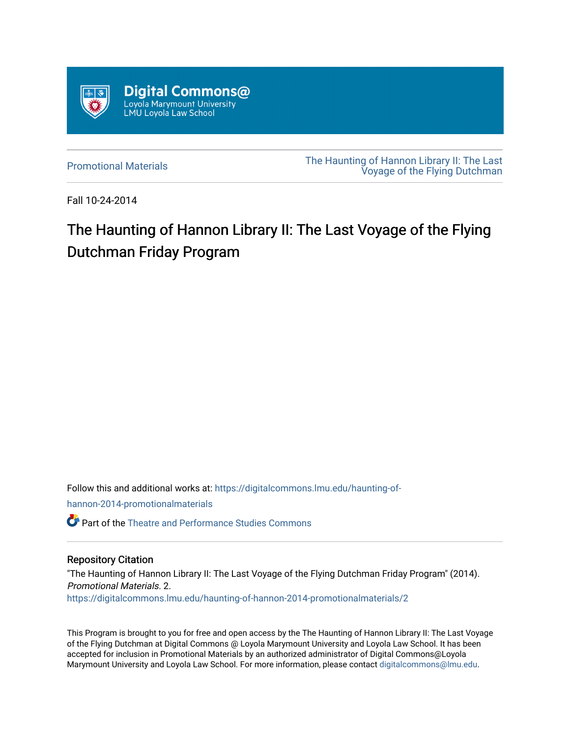

[Promotional Materials](https://digitalcommons.lmu.edu/haunting-of-hannon-2014-promotionalmaterials) [The Haunting of Hannon Library II: The Last](https://digitalcommons.lmu.edu/haunting-of-hannon-2014)  [Voyage of the Flying Dutchman](https://digitalcommons.lmu.edu/haunting-of-hannon-2014) 

Fall 10-24-2014

## The Haunting of Hannon Library II: The Last Voyage of the Flying Dutchman Friday Program

Follow this and additional works at: [https://digitalcommons.lmu.edu/haunting-of-](https://digitalcommons.lmu.edu/haunting-of-hannon-2014-promotionalmaterials?utm_source=digitalcommons.lmu.edu%2Fhaunting-of-hannon-2014-promotionalmaterials%2F2&utm_medium=PDF&utm_campaign=PDFCoverPages)

[hannon-2014-promotionalmaterials](https://digitalcommons.lmu.edu/haunting-of-hannon-2014-promotionalmaterials?utm_source=digitalcommons.lmu.edu%2Fhaunting-of-hannon-2014-promotionalmaterials%2F2&utm_medium=PDF&utm_campaign=PDFCoverPages) 

Part of the [Theatre and Performance Studies Commons](http://network.bepress.com/hgg/discipline/552?utm_source=digitalcommons.lmu.edu%2Fhaunting-of-hannon-2014-promotionalmaterials%2F2&utm_medium=PDF&utm_campaign=PDFCoverPages) 

## Repository Citation

"The Haunting of Hannon Library II: The Last Voyage of the Flying Dutchman Friday Program" (2014). Promotional Materials. 2. [https://digitalcommons.lmu.edu/haunting-of-hannon-2014-promotionalmaterials/2](https://digitalcommons.lmu.edu/haunting-of-hannon-2014-promotionalmaterials/2?utm_source=digitalcommons.lmu.edu%2Fhaunting-of-hannon-2014-promotionalmaterials%2F2&utm_medium=PDF&utm_campaign=PDFCoverPages) 

This Program is brought to you for free and open access by the The Haunting of Hannon Library II: The Last Voyage of the Flying Dutchman at Digital Commons @ Loyola Marymount University and Loyola Law School. It has been accepted for inclusion in Promotional Materials by an authorized administrator of Digital Commons@Loyola Marymount University and Loyola Law School. For more information, please contact [digitalcommons@lmu.edu](mailto:digitalcommons@lmu.edu).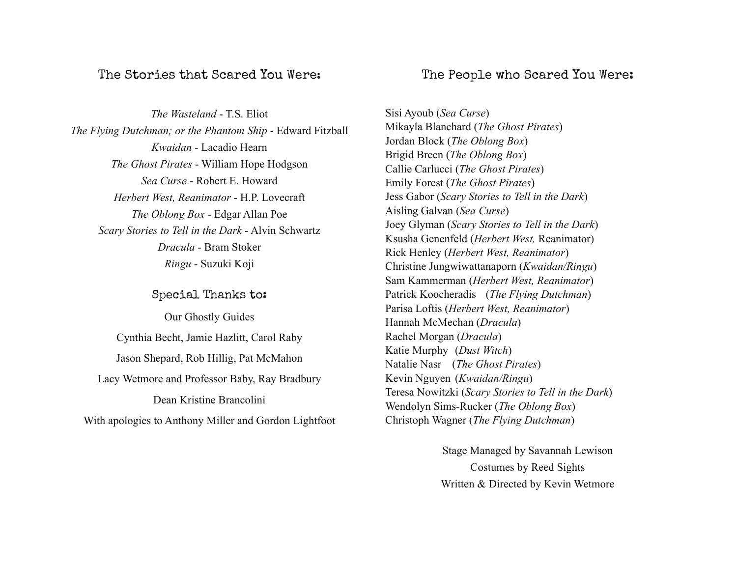## The Stories that Scared You Were:

The People who Scared You Were:

*The Wasteland* - T.S. Eliot *The Flying Dutchman; or the Phantom Ship* - Edward Fitzball *Kwaidan* - Lacadio Hearn *The Ghost Pirates* - William Hope Hodgson *Sea Curse* - Robert E. Howard *Herbert West, Reanimator* - H.P. Lovecraft *The Oblong Box* - Edgar Allan Poe *Scary Stories to Tell in the Dark* - Alvin Schwartz *Dracula* - Bram Stoker *Ringu* - Suzuki Koji

## Special Thanks to:

Our Ghostly Guides Cynthia Becht, Jamie Hazlitt, Carol Raby Jason Shepard, Rob Hillig, Pat McMahon Lacy Wetmore and Professor Baby, Ray Bradbury Dean Kristine Brancolini With apologies to Anthony Miller and Gordon Lightfoot

Sisi Ayoub (*Sea Curse*) Mikayla Blanchard (*The Ghost Pirates*) Jordan Block (*The Oblong Box*) Brigid Breen (*The Oblong Box*) Callie Carlucci (*The Ghost Pirates*) Emily Forest (*The Ghost Pirates*) Jess Gabor (*Scary Stories to Tell in the Dark*) Aisling Galvan (*Sea Curse*) Joey Glyman (*Scary Stories to Tell in the Dark*) Ksusha Genenfeld (*Herbert West,* Reanimator) Rick Henley (*Herbert West, Reanimator*) Christine Jungwiwattanaporn (*Kwaidan/Ringu*) Sam Kammerman (*Herbert West, Reanimator*) Patrick Koocheradis (*The Flying Dutchman*) Parisa Loftis (*Herbert West, Reanimator*) Hannah McMechan (*Dracula*) Rachel Morgan (*Dracula*) Katie Murphy (*Dust Witch*) Natalie Nasr (*The Ghost Pirates*) Kevin Nguyen (*Kwaidan/Ringu*) Teresa Nowitzki (*Scary Stories to Tell in the Dark*) Wendolyn Sims-Rucker (*The Oblong Box*) Christoph Wagner (*The Flying Dutchman*)

> Stage Managed by Savannah Lewison Costumes by Reed Sights Written & Directed by Kevin Wetmore